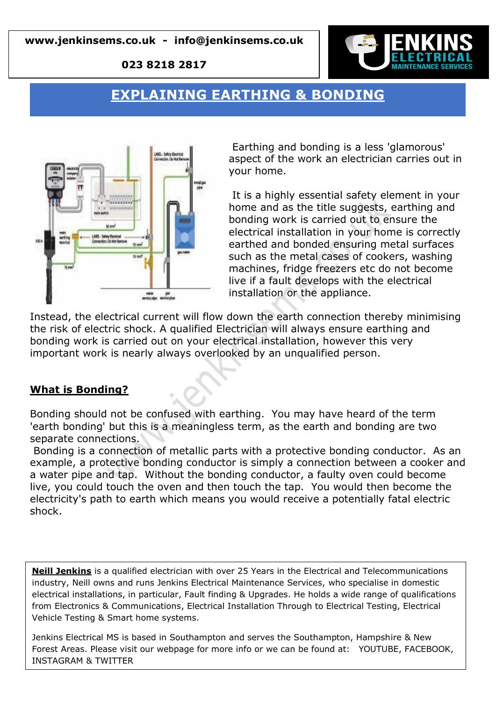**023 8218 2817**



# **EXPLAINING EARTHING & BONDING**



Earthing and bonding is a less 'glamorous' aspect of the work an electrician carries out in your home.

It is a highly essential safety element in your home and as the title suggests, earthing and bonding work is carried out to ensure the electrical installation in your home is correctly earthed and bonded ensuring metal surfaces such as the metal cases of cookers, washing machines, fridge freezers etc do not become live if a fault develops with the electrical installation or the appliance.

Instead, the electrical current will flow down the earth connection thereby minimising the risk of electric shock. A qualified Electrician will always ensure earthing and bonding work is carried out on your electrical installation, however this very important work is nearly always overlooked by an unqualified person.

### **What is Bonding?**

Bonding should not be confused with earthing. You may have heard of the term 'earth bonding' but this is a meaningless term, as the earth and bonding are two separate connections.

Bonding is a connection of metallic parts with a protective bonding conductor. As an example, a protective bonding conductor is simply a connection between a cooker and a water pipe and tap. Without the bonding conductor, a faulty oven could become live, you could touch the oven and then touch the tap. You would then become the electricity's path to earth which means you would receive a potentially fatal electric shock.

**Neill Jenkins** is a qualified electrician with over 25 Years in the Electrical and Telecommunications industry, Neill owns and runs Jenkins Electrical Maintenance Services, who specialise in domestic electrical installations, in particular, Fault finding & Upgrades. He holds a wide range of qualifications from Electronics & Communications, Electrical Installation Through to Electrical Testing, Electrical Vehicle Testing & Smart home systems.

Jenkins Electrical MS is based in Southampton and serves the Southampton, Hampshire & New Forest Areas. Please visit our webpage for more info or we can be found at: YOUTUBE, FACEBOOK, INSTAGRAM & TWITTER